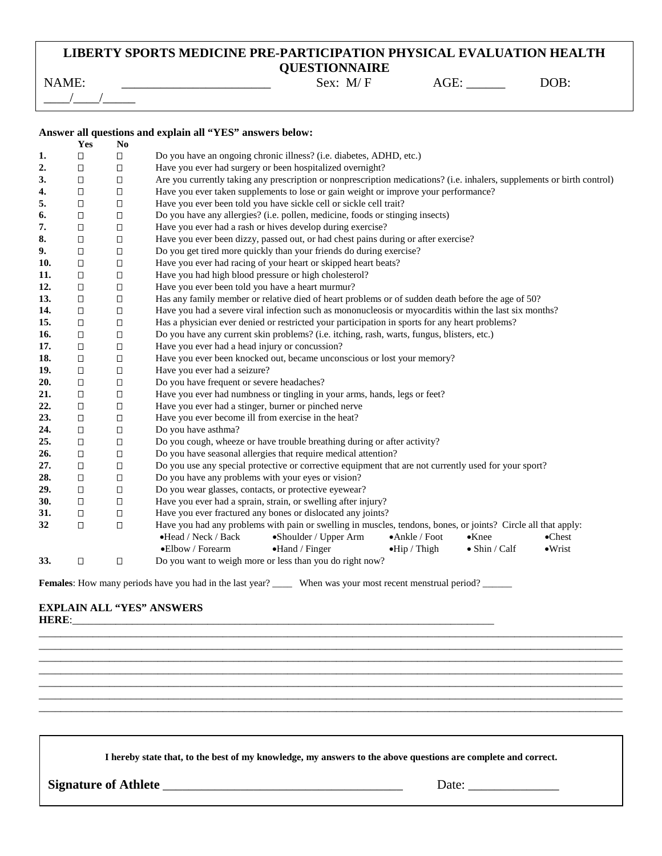## **LIBERTY SPORTS MEDICINE PRE-PARTICIPATION PHYSICAL EVALUATION HEALTH QUESTIONNAIRE**

| ___<br><b>NAME</b><br>$\overline{\phantom{a}}$ | $. M/\Gamma$<br>Sex: | ÷⊨<br>$\mathbf{A}$<br>ww<br>_______ | $\overline{OB}$ .<br>$\mathcal{M}$ |
|------------------------------------------------|----------------------|-------------------------------------|------------------------------------|
|                                                |                      |                                     |                                    |

### **Answer all questions and explain all "YES" answers below:**

|     | Yes    | N <sub>0</sub> |                                                                                                                         |  |  |  |  |  |
|-----|--------|----------------|-------------------------------------------------------------------------------------------------------------------------|--|--|--|--|--|
| 1.  | □      | $\Box$         | Do you have an ongoing chronic illness? (i.e. diabetes, ADHD, etc.)                                                     |  |  |  |  |  |
| 2.  | □      | $\Box$         | Have you ever had surgery or been hospitalized overnight?                                                               |  |  |  |  |  |
| 3.  | $\Box$ | □              | Are you currently taking any prescription or nonprescription medications? (i.e. inhalers, supplements or birth control) |  |  |  |  |  |
| 4.  | $\Box$ | $\Box$         | Have you ever taken supplements to lose or gain weight or improve your performance?                                     |  |  |  |  |  |
| 5.  | □      | $\Box$         | Have you ever been told you have sickle cell or sickle cell trait?                                                      |  |  |  |  |  |
| 6.  | $\Box$ | $\Box$         | Do you have any allergies? (i.e. pollen, medicine, foods or stinging insects)                                           |  |  |  |  |  |
| 7.  | $\Box$ | $\Box$         | Have you ever had a rash or hives develop during exercise?                                                              |  |  |  |  |  |
| 8.  | $\Box$ | $\Box$         | Have you ever been dizzy, passed out, or had chest pains during or after exercise?                                      |  |  |  |  |  |
| 9.  | $\Box$ | $\Box$         | Do you get tired more quickly than your friends do during exercise?                                                     |  |  |  |  |  |
| 10. | $\Box$ | $\Box$         | Have you ever had racing of your heart or skipped heart beats?                                                          |  |  |  |  |  |
| 11. | $\Box$ | $\Box$         | Have you had high blood pressure or high cholesterol?                                                                   |  |  |  |  |  |
| 12. | $\Box$ | $\Box$         | Have you ever been told you have a heart murmur?                                                                        |  |  |  |  |  |
| 13. | □      | □              | Has any family member or relative died of heart problems or of sudden death before the age of 50?                       |  |  |  |  |  |
| 14. | О      | $\Box$         | Have you had a severe viral infection such as mononucleosis or myocarditis within the last six months?                  |  |  |  |  |  |
| 15. | □      | □              | Has a physician ever denied or restricted your participation in sports for any heart problems?                          |  |  |  |  |  |
| 16. | $\Box$ | $\Box$         | Do you have any current skin problems? (i.e. itching, rash, warts, fungus, blisters, etc.)                              |  |  |  |  |  |
| 17. | □      | $\Box$         | Have you ever had a head injury or concussion?                                                                          |  |  |  |  |  |
| 18. | $\Box$ | $\Box$         | Have you ever been knocked out, became unconscious or lost your memory?                                                 |  |  |  |  |  |
| 19. | О      | $\Box$         | Have you ever had a seizure?                                                                                            |  |  |  |  |  |
| 20. | О      | □              | Do you have frequent or severe headaches?                                                                               |  |  |  |  |  |
| 21. | $\Box$ | $\Box$         | Have you ever had numbness or tingling in your arms, hands, legs or feet?                                               |  |  |  |  |  |
| 22. | О      | $\Box$         | Have you ever had a stinger, burner or pinched nerve                                                                    |  |  |  |  |  |
| 23. | $\Box$ | □              | Have you ever become ill from exercise in the heat?                                                                     |  |  |  |  |  |
| 24. | $\Box$ | $\Box$         | Do you have asthma?                                                                                                     |  |  |  |  |  |
| 25. | □      | $\Box$         | Do you cough, wheeze or have trouble breathing during or after activity?                                                |  |  |  |  |  |
| 26. | $\Box$ | $\Box$         | Do you have seasonal allergies that require medical attention?                                                          |  |  |  |  |  |
| 27. | □      | □              | Do you use any special protective or corrective equipment that are not currently used for your sport?                   |  |  |  |  |  |
| 28. | $\Box$ | $\Box$         | Do you have any problems with your eyes or vision?                                                                      |  |  |  |  |  |
| 29. | $\Box$ | $\Box$         | Do you wear glasses, contacts, or protective eyewear?                                                                   |  |  |  |  |  |
| 30. | $\Box$ | $\Box$         | Have you ever had a sprain, strain, or swelling after injury?                                                           |  |  |  |  |  |
| 31. | $\Box$ | $\Box$         | Have you ever fractured any bones or dislocated any joints?                                                             |  |  |  |  |  |
| 32  | $\Box$ | $\Box$         | Have you had any problems with pain or swelling in muscles, tendons, bones, or joints? Circle all that apply:           |  |  |  |  |  |
|     |        |                | •Head / Neck / Back<br>•Shoulder / Upper Arm<br>$\bullet$ Ankle / Foot<br>$\bullet$ Knee<br>$\bullet$ Chest             |  |  |  |  |  |
|     |        |                | $\bullet$ Hand / Finger<br>•Elbow / Forearm<br>$\bullet$ Hip / Thigh<br>$\bullet$ Shin / Calf<br>$\bullet$ Wrist        |  |  |  |  |  |
| 33. | □      | $\Box$         | Do you want to weigh more or less than you do right now?                                                                |  |  |  |  |  |

Females: How many periods have you had in the last year? \_\_\_\_ When was your most recent menstrual period? \_\_\_\_\_

### **EXPLAIN ALL "YES" ANSWERS HERE:**  $\blacksquare$

**I hereby state that, to the best of my knowledge, my answers to the above questions are complete and correct.**

\_\_\_\_\_\_\_\_\_\_\_\_\_\_\_\_\_\_\_\_\_\_\_\_\_\_\_\_\_\_\_\_\_\_\_\_\_\_\_\_\_\_\_\_\_\_\_\_\_\_\_\_\_\_\_\_\_\_\_\_\_\_\_\_\_\_\_\_\_\_\_\_\_\_\_\_\_\_\_\_\_\_\_\_\_\_\_\_\_\_\_\_\_\_\_\_\_\_\_\_\_\_\_\_\_\_\_\_ \_\_\_\_\_\_\_\_\_\_\_\_\_\_\_\_\_\_\_\_\_\_\_\_\_\_\_\_\_\_\_\_\_\_\_\_\_\_\_\_\_\_\_\_\_\_\_\_\_\_\_\_\_\_\_\_\_\_\_\_\_\_\_\_\_\_\_\_\_\_\_\_\_\_\_\_\_\_\_\_\_\_\_\_\_\_\_\_\_\_\_\_\_\_\_\_\_\_\_\_\_\_\_\_\_\_\_\_ \_\_\_\_\_\_\_\_\_\_\_\_\_\_\_\_\_\_\_\_\_\_\_\_\_\_\_\_\_\_\_\_\_\_\_\_\_\_\_\_\_\_\_\_\_\_\_\_\_\_\_\_\_\_\_\_\_\_\_\_\_\_\_\_\_\_\_\_\_\_\_\_\_\_\_\_\_\_\_\_\_\_\_\_\_\_\_\_\_\_\_\_\_\_\_\_\_\_\_\_\_\_\_\_\_\_\_\_ \_\_\_\_\_\_\_\_\_\_\_\_\_\_\_\_\_\_\_\_\_\_\_\_\_\_\_\_\_\_\_\_\_\_\_\_\_\_\_\_\_\_\_\_\_\_\_\_\_\_\_\_\_\_\_\_\_\_\_\_\_\_\_\_\_\_\_\_\_\_\_\_\_\_\_\_\_\_\_\_\_\_\_\_\_\_\_\_\_\_\_\_\_\_\_\_\_\_\_\_\_\_\_\_\_\_\_\_ \_\_\_\_\_\_\_\_\_\_\_\_\_\_\_\_\_\_\_\_\_\_\_\_\_\_\_\_\_\_\_\_\_\_\_\_\_\_\_\_\_\_\_\_\_\_\_\_\_\_\_\_\_\_\_\_\_\_\_\_\_\_\_\_\_\_\_\_\_\_\_\_\_\_\_\_\_\_\_\_\_\_\_\_\_\_\_\_\_\_\_\_\_\_\_\_\_\_\_\_\_\_\_\_\_\_\_\_ \_\_\_\_\_\_\_\_\_\_\_\_\_\_\_\_\_\_\_\_\_\_\_\_\_\_\_\_\_\_\_\_\_\_\_\_\_\_\_\_\_\_\_\_\_\_\_\_\_\_\_\_\_\_\_\_\_\_\_\_\_\_\_\_\_\_\_\_\_\_\_\_\_\_\_\_\_\_\_\_\_\_\_\_\_\_\_\_\_\_\_\_\_\_\_\_\_\_\_\_\_\_\_\_\_\_\_\_ \_\_\_\_\_\_\_\_\_\_\_\_\_\_\_\_\_\_\_\_\_\_\_\_\_\_\_\_\_\_\_\_\_\_\_\_\_\_\_\_\_\_\_\_\_\_\_\_\_\_\_\_\_\_\_\_\_\_\_\_\_\_\_\_\_\_\_\_\_\_\_\_\_\_\_\_\_\_\_\_\_\_\_\_\_\_\_\_\_\_\_\_\_\_\_\_\_\_\_\_\_\_\_\_\_\_\_\_

**Signature of Athlete** \_\_\_\_\_\_\_\_\_\_\_\_\_\_\_\_\_\_\_\_\_\_\_\_\_\_\_\_\_\_\_\_\_\_\_\_\_ Date: \_\_\_\_\_\_\_\_\_\_\_\_\_\_